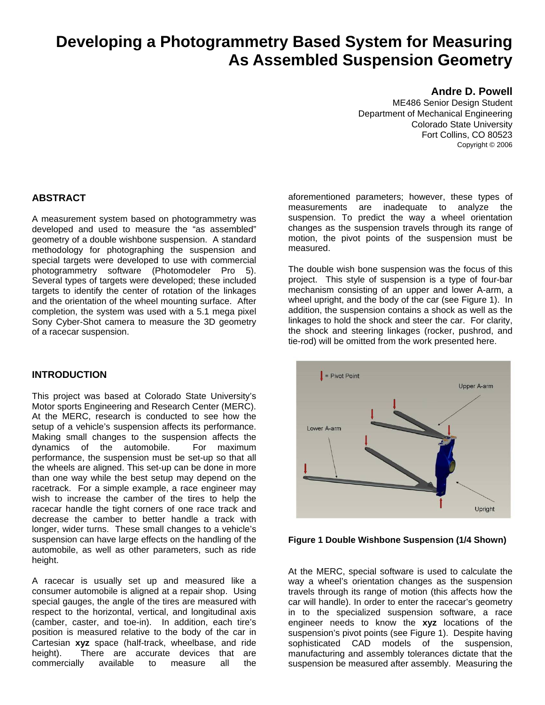# **Developing a Photogrammetry Based System for Measuring As Assembled Suspension Geometry**

#### **Andre D. Powell**

ME486 Senior Design Student Department of Mechanical Engineering Colorado State University Fort Collins, CO 80523 Copyright © 2006

#### **ABSTRACT**

A measurement system based on photogrammetry was developed and used to measure the "as assembled" geometry of a double wishbone suspension. A standard methodology for photographing the suspension and special targets were developed to use with commercial photogrammetry software (Photomodeler Pro 5). Several types of targets were developed; these included targets to identify the center of rotation of the linkages and the orientation of the wheel mounting surface. After completion, the system was used with a 5.1 mega pixel Sony Cyber-Shot camera to measure the 3D geometry of a racecar suspension.

### **INTRODUCTION**

This project was based at Colorado State University's Motor sports Engineering and Research Center (MERC). At the MERC, research is conducted to see how the setup of a vehicle's suspension affects its performance. Making small changes to the suspension affects the dynamics of the automobile. For maximum performance, the suspension must be set-up so that all the wheels are aligned. This set-up can be done in more than one way while the best setup may depend on the racetrack. For a simple example, a race engineer may wish to increase the camber of the tires to help the racecar handle the tight corners of one race track and decrease the camber to better handle a track with longer, wider turns. These small changes to a vehicle's suspension can have large effects on the handling of the automobile, as well as other parameters, such as ride height.

A racecar is usually set up and measured like a consumer automobile is aligned at a repair shop. Using special gauges, the angle of the tires are measured with respect to the horizontal, vertical, and longitudinal axis (camber, caster, and toe-in). In addition, each tire's position is measured relative to the body of the car in Cartesian **xyz** space (half-track, wheelbase, and ride height). There are accurate devices that are commercially available to measure all the

aforementioned parameters; however, these types of measurements are inadequate to analyze the suspension. To predict the way a wheel orientation changes as the suspension travels through its range of motion, the pivot points of the suspension must be measured.

The double wish bone suspension was the focus of this project. This style of suspension is a type of four-bar mechanism consisting of an upper and lower A-arm, a wheel upright, and the body of the car (see Figure 1). In addition, the suspension contains a shock as well as the linkages to hold the shock and steer the car. For clarity, the shock and steering linkages (rocker, pushrod, and tie-rod) will be omitted from the work presented here.



**Figure 1 Double Wishbone Suspension (1/4 Shown)** 

At the MERC, special software is used to calculate the way a wheel's orientation changes as the suspension travels through its range of motion (this affects how the car will handle). In order to enter the racecar's geometry in to the specialized suspension software, a race engineer needs to know the **xyz** locations of the suspension's pivot points (see Figure 1). Despite having sophisticated CAD models of the suspension. manufacturing and assembly tolerances dictate that the suspension be measured after assembly. Measuring the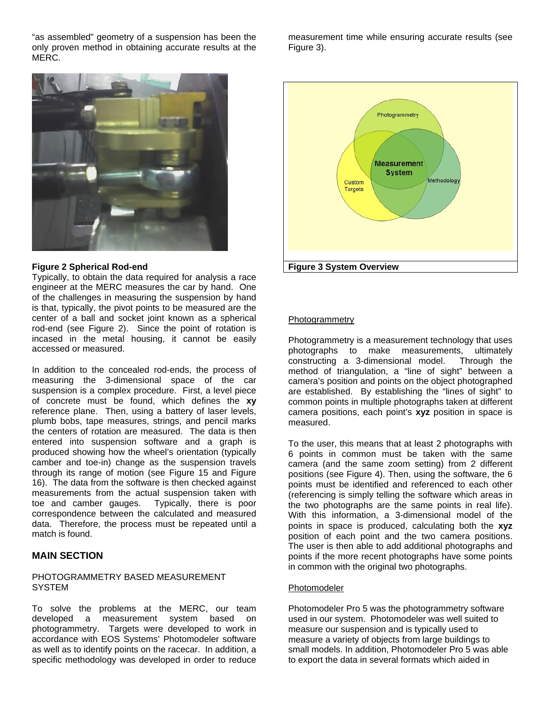"as assembled" geometry of a suspension has been the only proven method in obtaining accurate results at the MERC.



#### **Figure 2 Spherical Rod-end**

Typically, to obtain the data required for analysis a race engineer at the MERC measures the car by hand. One of the challenges in measuring the suspension by hand is that, typically, the pivot points to be measured are the center of a ball and socket joint known as a spherical rod-end (see Figure 2). Since the point of rotation is incased in the metal housing, it cannot be easily accessed or measured.

In addition to the concealed rod-ends, the process of measuring the 3-dimensional space of the car suspension is a complex procedure. First, a level piece of concrete must be found, which defines the **xy** reference plane. Then, using a battery of laser levels, plumb bobs, tape measures, strings, and pencil marks the centers of rotation are measured. The data is then entered into suspension software and a graph is produced showing how the wheel's orientation (typically camber and toe-in) change as the suspension travels through its range of motion (see Figure 15 and Figure 16). The data from the software is then checked against measurements from the actual suspension taken with toe and camber gauges. Typically, there is poor correspondence between the calculated and measured data. Therefore, the process must be repeated until a match is found.

#### **MAIN SECTION**

#### PHOTOGRAMMETRY BASED MEASUREMENT **SYSTEM**

To solve the problems at the MERC, our team developed a measurement system based on photogrammetry. Targets were developed to work in accordance with EOS Systems' Photomodeler software as well as to identify points on the racecar. In addition, a specific methodology was developed in order to reduce

measurement time while ensuring accurate results (see Figure 3).



#### Photogrammetry

Photogrammetry is a measurement technology that uses photographs to make measurements, ultimately constructing a 3-dimensional model. Through the method of triangulation, a "line of sight" between a camera's position and points on the object photographed are established. By establishing the "lines of sight" to common points in multiple photographs taken at different camera positions, each point's **xyz** position in space is measured.

To the user, this means that at least 2 photographs with 6 points in common must be taken with the same camera (and the same zoom setting) from 2 different positions (see Figure 4). Then, using the software, the 6 points must be identified and referenced to each other (referencing is simply telling the software which areas in the two photographs are the same points in real life). With this information, a 3-dimensional model of the points in space is produced, calculating both the **xyz** position of each point and the two camera positions. The user is then able to add additional photographs and points if the more recent photographs have some points in common with the original two photographs.

#### Photomodeler

Photomodeler Pro 5 was the photogrammetry software used in our system. Photomodeler was well suited to measure our suspension and is typically used to measure a variety of objects from large buildings to small models. In addition, Photomodeler Pro 5 was able to export the data in several formats which aided in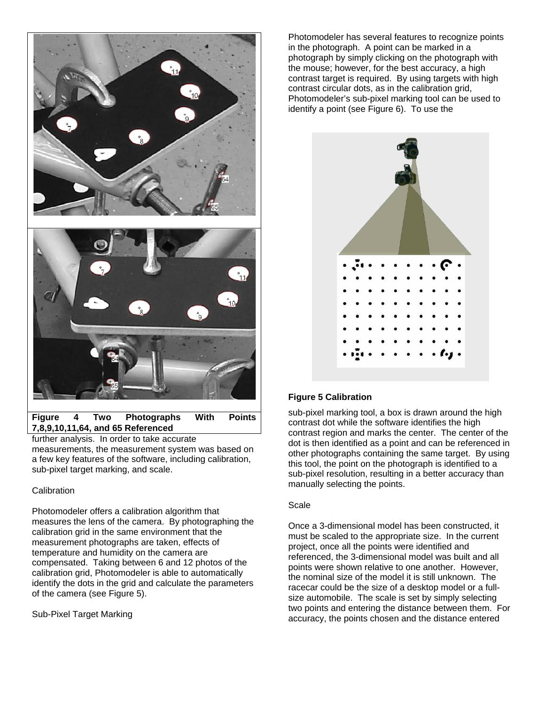

further analysis. In order to take accurate measurements, the measurement system was based on a few key features of the software, including calibration, sub-pixel target marking, and scale.

#### **Calibration**

Photomodeler offers a calibration algorithm that measures the lens of the camera. By photographing the calibration grid in the same environment that the measurement photographs are taken, effects of temperature and humidity on the camera are compensated. Taking between 6 and 12 photos of the calibration grid, Photomodeler is able to automatically identify the dots in the grid and calculate the parameters of the camera (see Figure 5).

Sub-Pixel Target Marking

Photomodeler has several features to recognize points in the photograph. A point can be marked in a photograph by simply clicking on the photograph with the mouse; however, for the best accuracy, a high contrast target is required. By using targets with high contrast circular dots, as in the calibration grid, Photomodeler's sub-pixel marking tool can be used to identify a point (see Figure 6). To use the



### **Figure 5 Calibration**

sub-pixel marking tool, a box is drawn around the high contrast dot while the software identifies the high contrast region and marks the center. The center of the dot is then identified as a point and can be referenced in other photographs containing the same target. By using this tool, the point on the photograph is identified to a sub-pixel resolution, resulting in a better accuracy than manually selecting the points.

#### Scale

Once a 3-dimensional model has been constructed, it must be scaled to the appropriate size. In the current project, once all the points were identified and referenced, the 3-dimensional model was built and all points were shown relative to one another. However, the nominal size of the model it is still unknown. The racecar could be the size of a desktop model or a fullsize automobile. The scale is set by simply selecting two points and entering the distance between them. For accuracy, the points chosen and the distance entered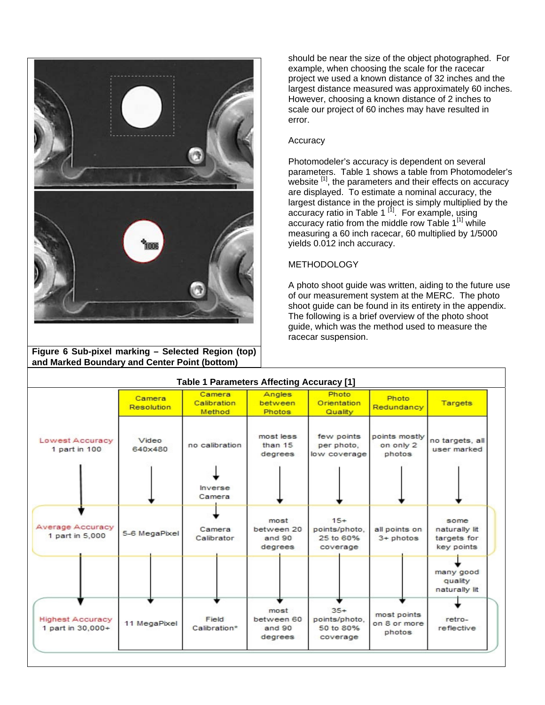

**Figure 6 Sub-pixel marking – Selected Region (top) and Marked Boundary and Center Point (bottom)** 

should be near the size of the object photographed. For example, when choosing the scale for the racecar project we used a known distance of 32 inches and the largest distance measured was approximately 60 inches. However, choosing a known distance of 2 inches to scale our project of 60 inches may have resulted in error.

#### Accuracy

Photomodeler's accuracy is dependent on several parameters. Table 1 shows a table from Photomodeler's website  $\left[1\right]$ , the parameters and their effects on accuracy are displayed. To estimate a nominal accuracy, the largest distance in the project is simply multiplied by the accuracy ratio in Table 1<sup>[1]</sup>. For example, using accuracy ratio from the middle row Table  $1^{[1]}$  while measuring a 60 inch racecar, 60 multiplied by 1/5000 yields 0.012 inch accuracy.

#### **METHODOLOGY**

A photo shoot guide was written, aiding to the future use of our measurement system at the MERC. The photo shoot guide can be found in its entirety in the appendix. The following is a brief overview of the photo shoot guide, which was the method used to measure the racecar suspension.

| <b>Table 1 Parameters Affecting Accuracy [1]</b> |                             |                                     |                                         |                                                 |                                       |                                                    |  |
|--------------------------------------------------|-----------------------------|-------------------------------------|-----------------------------------------|-------------------------------------------------|---------------------------------------|----------------------------------------------------|--|
|                                                  | Camera<br><b>Resolution</b> | Camera<br>Calibration<br>Method     | Angles<br>between<br>Photos             | Photo<br>Orientation<br>Quality                 | Photo<br>Redundancy                   | <b>Targets</b>                                     |  |
| Lowest Accuracy<br>1 part in 100                 | Video<br>640×480            | no calibration<br>Inverse<br>Camera | most less<br>than 15<br>degrees         | few points<br>per photo.<br>low coverage        | points mostly<br>on only 2<br>photos  | no targets, all<br>user marked                     |  |
| Average Accuracy<br>1 part in 5,000              | 5-6 MegaPixel               | Camera<br>Calibrator                | most<br>between 20<br>and 90<br>degrees | $15+$<br>points/photo.<br>25 to 60%<br>coverage | all points on<br>$3 + photos$         | some<br>naturally lit<br>targets for<br>key points |  |
|                                                  |                             |                                     |                                         |                                                 |                                       | many good<br>quality<br>naturally lit              |  |
| <b>Highest Accuracy</b><br>1 part in 30,000+     | 11 MegaPixel                | Field<br>Calibration*               | most<br>between 60<br>and 90<br>degrees | $35+$<br>points/photo,<br>50 to 80%<br>coverage | most points<br>on 8 or more<br>photos | retro-<br>reflective                               |  |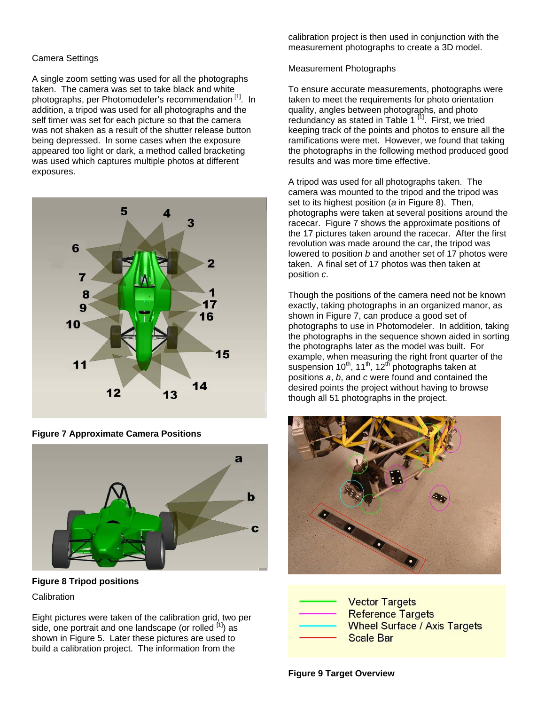#### Camera Settings

A single zoom setting was used for all the photographs taken. The camera was set to take black and white photographs, per Photomodeler's recommendation<sup>[1]</sup>. In addition, a tripod was used for all photographs and the self timer was set for each picture so that the camera was not shaken as a result of the shutter release button being depressed. In some cases when the exposure appeared too light or dark, a method called bracketing was used which captures multiple photos at different exposures.



**Figure 7 Approximate Camera Positions** 



**Figure 8 Tripod positions** 

**Calibration** 

Eight pictures were taken of the calibration grid, two per side, one portrait and one landscape (or rolled  $\frac{1}{1}$ ) as shown in Figure 5. Later these pictures are used to build a calibration project. The information from the

calibration project is then used in conjunction with the measurement photographs to create a 3D model.

#### Measurement Photographs

To ensure accurate measurements, photographs were taken to meet the requirements for photo orientation quality, angles between photographs, and photo redundancy as stated in Table  $1^{[1]}$ . First, we tried keeping track of the points and photos to ensure all the ramifications were met. However, we found that taking the photographs in the following method produced good results and was more time effective.

A tripod was used for all photographs taken. The camera was mounted to the tripod and the tripod was set to its highest position (*a* in Figure 8). Then, photographs were taken at several positions around the racecar. Figure 7 shows the approximate positions of the 17 pictures taken around the racecar. After the first revolution was made around the car, the tripod was lowered to position *b* and another set of 17 photos were taken. A final set of 17 photos was then taken at position *c*.

Though the positions of the camera need not be known exactly, taking photographs in an organized manor, as shown in Figure 7, can produce a good set of photographs to use in Photomodeler. In addition, taking the photographs in the sequence shown aided in sorting the photographs later as the model was built. For example, when measuring the right front quarter of the suspension  $10^{th}$ ,  $11^{th}$ ,  $12^{th}$  photographs taken at positions *a*, *b*, and *c* were found and contained the desired points the project without having to browse though all 51 photographs in the project.



| <b>Vector Targets</b>               |
|-------------------------------------|
| <b>Reference Targets</b>            |
| <b>Wheel Surface / Axis Targets</b> |
| <b>Scale Bar</b>                    |

**Figure 9 Target Overview**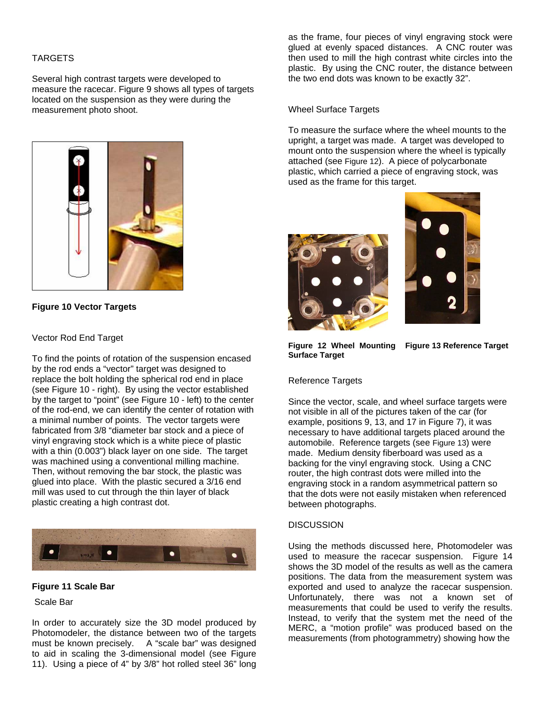#### TARGETS

Several high contrast targets were developed to measure the racecar. Figure 9 shows all types of targets located on the suspension as they were during the measurement photo shoot.



**Figure 10 Vector Targets** 

#### Vector Rod End Target

To find the points of rotation of the suspension encased by the rod ends a "vector" target was designed to replace the bolt holding the spherical rod end in place (see Figure 10 - right). By using the vector established by the target to "point" (see Figure 10 - left) to the center of the rod-end, we can identify the center of rotation with a minimal number of points. The vector targets were fabricated from 3/8 "diameter bar stock and a piece of vinyl engraving stock which is a white piece of plastic with a thin (0.003") black layer on one side. The target was machined using a conventional milling machine. Then, without removing the bar stock, the plastic was glued into place. With the plastic secured a 3/16 end mill was used to cut through the thin layer of black plastic creating a high contrast dot.



#### **Figure 11 Scale Bar**

Scale Bar

In order to accurately size the 3D model produced by Photomodeler, the distance between two of the targets must be known precisely. A "scale bar" was designed to aid in scaling the 3-dimensional model (see Figure 11). Using a piece of 4" by 3/8" hot rolled steel 36" long

as the frame, four pieces of vinyl engraving stock were glued at evenly spaced distances. A CNC router was then used to mill the high contrast white circles into the plastic. By using the CNC router, the distance between the two end dots was known to be exactly 32".

#### Wheel Surface Targets

To measure the surface where the wheel mounts to the upright, a target was made. A target was developed to mount onto the suspension where the wheel is typically attached (see Figure 12). A piece of polycarbonate plastic, which carried a piece of engraving stock, was used as the frame for this target.





**Figure 12 Wheel Mounting Figure 13 Reference Target Surface Target** 

#### Reference Targets

Since the vector, scale, and wheel surface targets were not visible in all of the pictures taken of the car (for example, positions 9, 13, and 17 in Figure 7), it was necessary to have additional targets placed around the automobile. Reference targets (see Figure 13) were made. Medium density fiberboard was used as a backing for the vinyl engraving stock. Using a CNC router, the high contrast dots were milled into the engraving stock in a random asymmetrical pattern so that the dots were not easily mistaken when referenced between photographs.

#### **DISCUSSION**

Using the methods discussed here, Photomodeler was used to measure the racecar suspension. Figure 14 shows the 3D model of the results as well as the camera positions. The data from the measurement system was exported and used to analyze the racecar suspension. Unfortunately, there was not a known set of measurements that could be used to verify the results. Instead, to verify that the system met the need of the MERC, a "motion profile" was produced based on the measurements (from photogrammetry) showing how the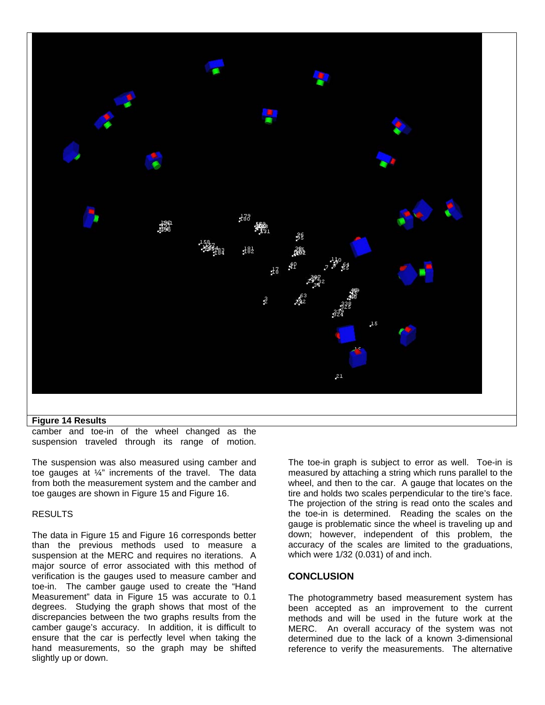

#### **Figure 14 Results**

camber and toe-in of the wheel changed as the suspension traveled through its range of motion.

The suspension was also measured using camber and toe gauges at ¼" increments of the travel. The data from both the measurement system and the camber and toe gauges are shown in Figure 15 and Figure 16.

#### RESULTS

The data in Figure 15 and Figure 16 corresponds better than the previous methods used to measure a suspension at the MERC and requires no iterations. A major source of error associated with this method of verification is the gauges used to measure camber and toe-in. The camber gauge used to create the "Hand Measurement" data in Figure 15 was accurate to 0.1 degrees. Studying the graph shows that most of the discrepancies between the two graphs results from the camber gauge's accuracy. In addition, it is difficult to ensure that the car is perfectly level when taking the hand measurements, so the graph may be shifted slightly up or down.

The toe-in graph is subject to error as well. Toe-in is measured by attaching a string which runs parallel to the wheel, and then to the car. A gauge that locates on the tire and holds two scales perpendicular to the tire's face. The projection of the string is read onto the scales and the toe-in is determined. Reading the scales on the gauge is problematic since the wheel is traveling up and down; however, independent of this problem, the accuracy of the scales are limited to the graduations, which were 1/32 (0.031) of and inch.

#### **CONCLUSION**

The photogrammetry based measurement system has been accepted as an improvement to the current methods and will be used in the future work at the MERC. An overall accuracy of the system was not determined due to the lack of a known 3-dimensional reference to verify the measurements. The alternative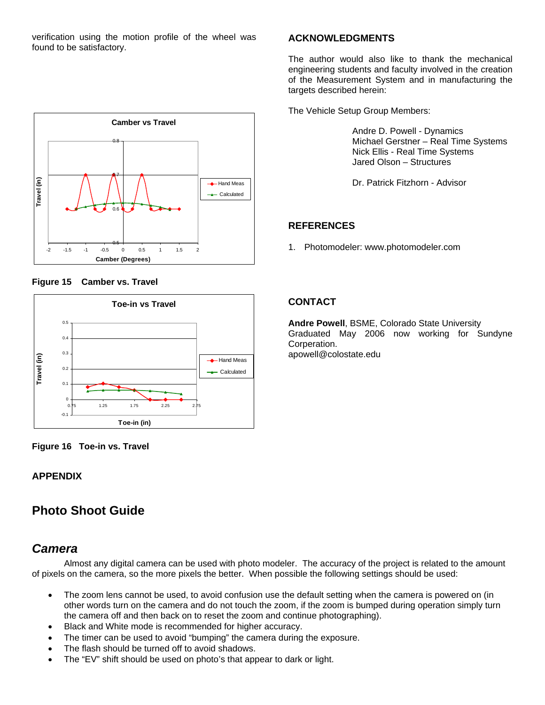verification using the motion profile of the wheel was found to be satisfactory.







**Figure 16 Toe-in vs. Travel** 

## **APPENDIX**

# **Photo Shoot Guide**

## *Camera*

 Almost any digital camera can be used with photo modeler. The accuracy of the project is related to the amount of pixels on the camera, so the more pixels the better. When possible the following settings should be used:

- The zoom lens cannot be used, to avoid confusion use the default setting when the camera is powered on (in other words turn on the camera and do not touch the zoom, if the zoom is bumped during operation simply turn the camera off and then back on to reset the zoom and continue photographing).
- Black and White mode is recommended for higher accuracy.
- The timer can be used to avoid "bumping" the camera during the exposure.
- The flash should be turned off to avoid shadows.
- The "EV" shift should be used on photo's that appear to dark or light.

## **ACKNOWLEDGMENTS**

The author would also like to thank the mechanical engineering students and faculty involved in the creation of the Measurement System and in manufacturing the targets described herein:

The Vehicle Setup Group Members:

Andre D. Powell - Dynamics Michael Gerstner – Real Time Systems Nick Ellis - Real Time Systems Jared Olson – Structures

Dr. Patrick Fitzhorn - Advisor

## **REFERENCES**

1. Photomodeler: www.photomodeler.com

## **CONTACT**

**Andre Powell**, BSME, Colorado State University Graduated May 2006 now working for Sundyne Corperation. apowell@colostate.edu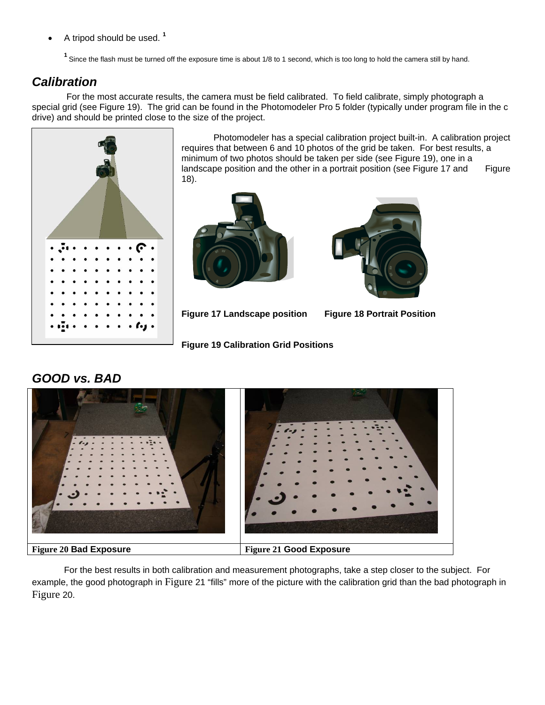• A tripod should be used. **<sup>1</sup>**

<sup>1</sup> Since the flash must be turned off the exposure time is about 1/8 to 1 second, which is too long to hold the camera still by hand.

# *Calibration*

 For the most accurate results, the camera must be field calibrated. To field calibrate, simply photograph a special grid (see Figure 19). The grid can be found in the Photomodeler Pro 5 folder (typically under program file in the c drive) and should be printed close to the size of the project.



 Photomodeler has a special calibration project built-in. A calibration project requires that between 6 and 10 photos of the grid be taken. For best results, a minimum of two photos should be taken per side (see Figure 19), one in a landscape position and the other in a portrait position (see Figure 17 and Figure 18).





**Figure 17 Landscape position Figure 18 Portrait Position** 

**Figure 19 Calibration Grid Positions** 



For the best results in both calibration and measurement photographs, take a step closer to the subject. For example, the good photograph in Figure 21 "fills" more of the picture with the calibration grid than the bad photograph in Figure 20.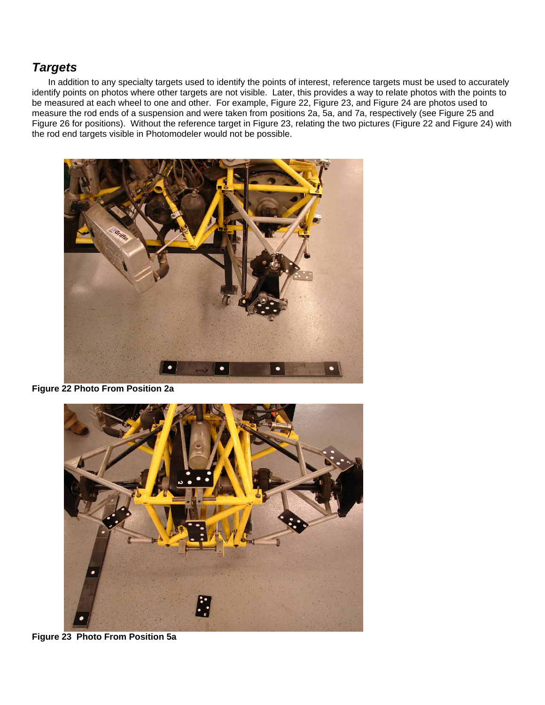## *Targets*

In addition to any specialty targets used to identify the points of interest, reference targets must be used to accurately identify points on photos where other targets are not visible. Later, this provides a way to relate photos with the points to be measured at each wheel to one and other. For example, Figure 22, Figure 23, and Figure 24 are photos used to measure the rod ends of a suspension and were taken from positions 2a, 5a, and 7a, respectively (see Figure 25 and Figure 26 for positions). Without the reference target in Figure 23, relating the two pictures (Figure 22 and Figure 24) with the rod end targets visible in Photomodeler would not be possible.



**Figure 22 Photo From Position 2a** 



**Figure 23 Photo From Position 5a**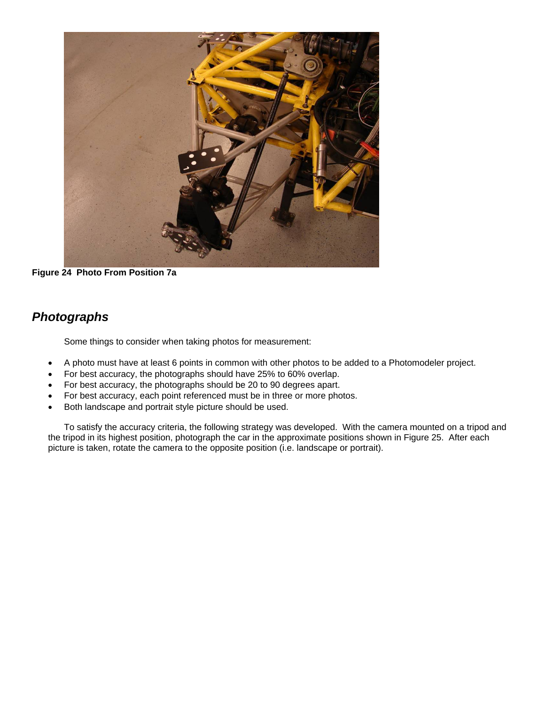

**Figure 24 Photo From Position 7a** 

# *Photographs*

Some things to consider when taking photos for measurement:

- A photo must have at least 6 points in common with other photos to be added to a Photomodeler project.
- For best accuracy, the photographs should have 25% to 60% overlap.
- For best accuracy, the photographs should be 20 to 90 degrees apart.
- For best accuracy, each point referenced must be in three or more photos.
- Both landscape and portrait style picture should be used.

To satisfy the accuracy criteria, the following strategy was developed. With the camera mounted on a tripod and the tripod in its highest position, photograph the car in the approximate positions shown in Figure 25. After each picture is taken, rotate the camera to the opposite position (i.e. landscape or portrait).